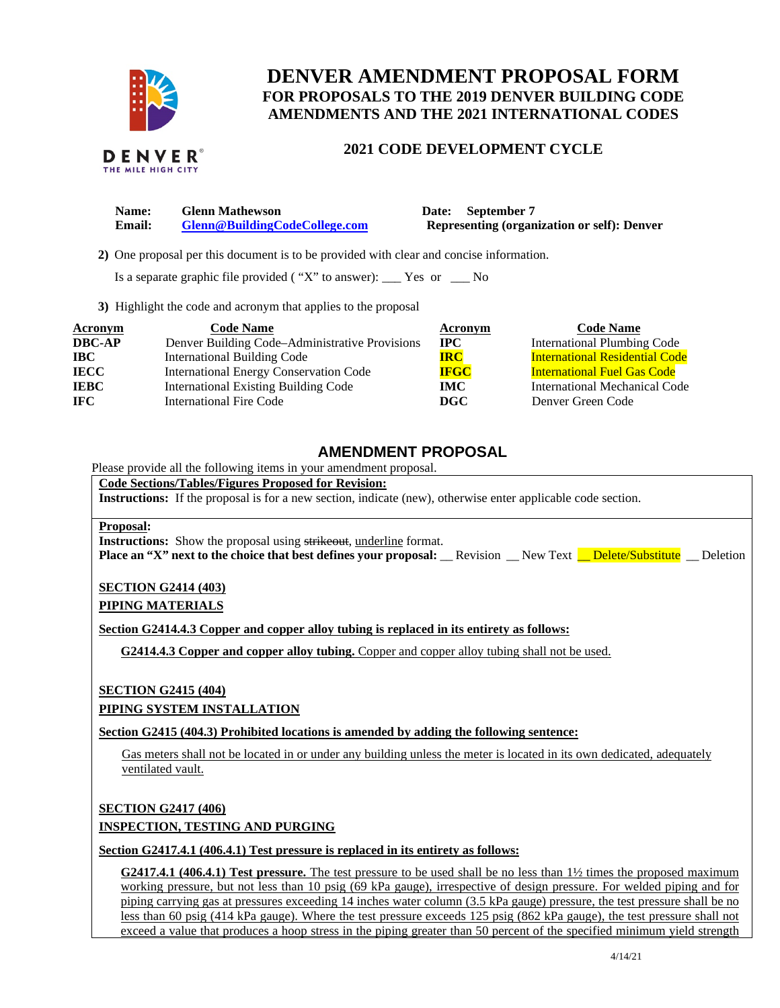

# **DENVER AMENDMENT PROPOSAL FORM FOR PROPOSALS TO THE 2019 DENVER BUILDING CODE AMENDMENTS AND THE 2021 INTERNATIONAL CODES**

### **DENVER**® THE MILE HIGH CITY

## **2021 CODE DEVELOPMENT CYCLE**

**Name:** Glenn Mathewson **Date: September 7 Email: [Glenn@BuildingCodeCollege.com](mailto:Glenn@BuildingCodeCollege.com) Representing (organization or self): Denver** 

 **2)** One proposal per this document is to be provided with clear and concise information.

Is a separate graphic file provided ( "X" to answer): \_\_\_ Yes or \_\_\_ No

**3)** Highlight the code and acronym that applies to the proposal

| Acronym       | <b>Code Name</b>                               | Acronym     | <b>Code Name</b>                      |
|---------------|------------------------------------------------|-------------|---------------------------------------|
| <b>DBC-AP</b> | Denver Building Code-Administrative Provisions | <b>IPC</b>  | <b>International Plumbing Code</b>    |
| <b>IBC</b>    | <b>International Building Code</b>             | <b>IRC</b>  | <b>International Residential Code</b> |
| <b>IECC</b>   | <b>International Energy Conservation Code</b>  | <b>IFGC</b> | <b>International Fuel Gas Code</b>    |
| <b>IEBC</b>   | <b>International Existing Building Code</b>    | <b>IMC</b>  | International Mechanical Code         |
| <b>IFC</b>    | <b>International Fire Code</b>                 | DGC         | Denver Green Code                     |

# **AMENDMENT PROPOSAL**

Please provide all the following items in your amendment proposal.

**Code Sections/Tables/Figures Proposed for Revision:** 

**Instructions:** If the proposal is for a new section, indicate (new), otherwise enter applicable code section.

### **Proposal:**

**Instructions:** Show the proposal using strikeout, underline format. **Place an "X" next to the choice that best defines your proposal:** Revision New Text **Delete/Substitute** Deletion

### **SECTION G2414 (403) PIPING MATERIALS**

**Section G2414.4.3 Copper and copper alloy tubing is replaced in its entirety as follows:**

**G2414.4.3 Copper and copper alloy tubing.** Copper and copper alloy tubing shall not be used.

### **SECTION G2415 (404)**

**PIPING SYSTEM INSTALLATION** 

**Section G2415 (404.3) Prohibited locations is amended by adding the following sentence:**

Gas meters shall not be located in or under any building unless the meter is located in its own dedicated, adequately ventilated vault.

**SECTION G2417 (406)** 

## **INSPECTION, TESTING AND PURGING**

**Section G2417.4.1 (406.4.1) Test pressure is replaced in its entirety as follows:**

**G2417.4.1 (406.4.1) Test pressure.** The test pressure to be used shall be no less than 1½ times the proposed maximum working pressure, but not less than 10 psig (69 kPa gauge), irrespective of design pressure. For welded piping and for piping carrying gas at pressures exceeding 14 inches water column (3.5 kPa gauge) pressure, the test pressure shall be no less than 60 psig (414 kPa gauge). Where the test pressure exceeds 125 psig (862 kPa gauge), the test pressure shall not exceed a value that produces a hoop stress in the piping greater than 50 percent of the specified minimum yield strength